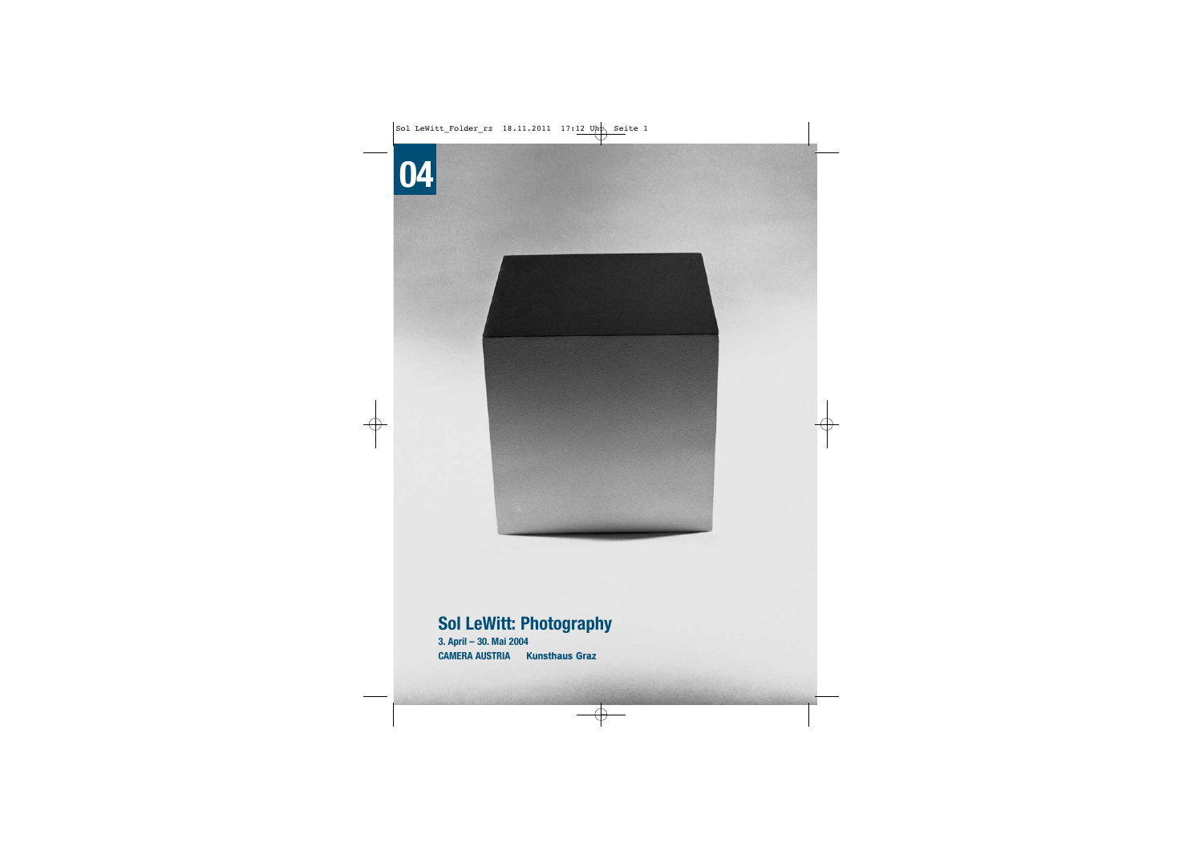# **04**



## **Sol LeWitt: Photography**

**3. April – 30. Mai 2004 CAMERA AUSTRIAKunsthaus Graz**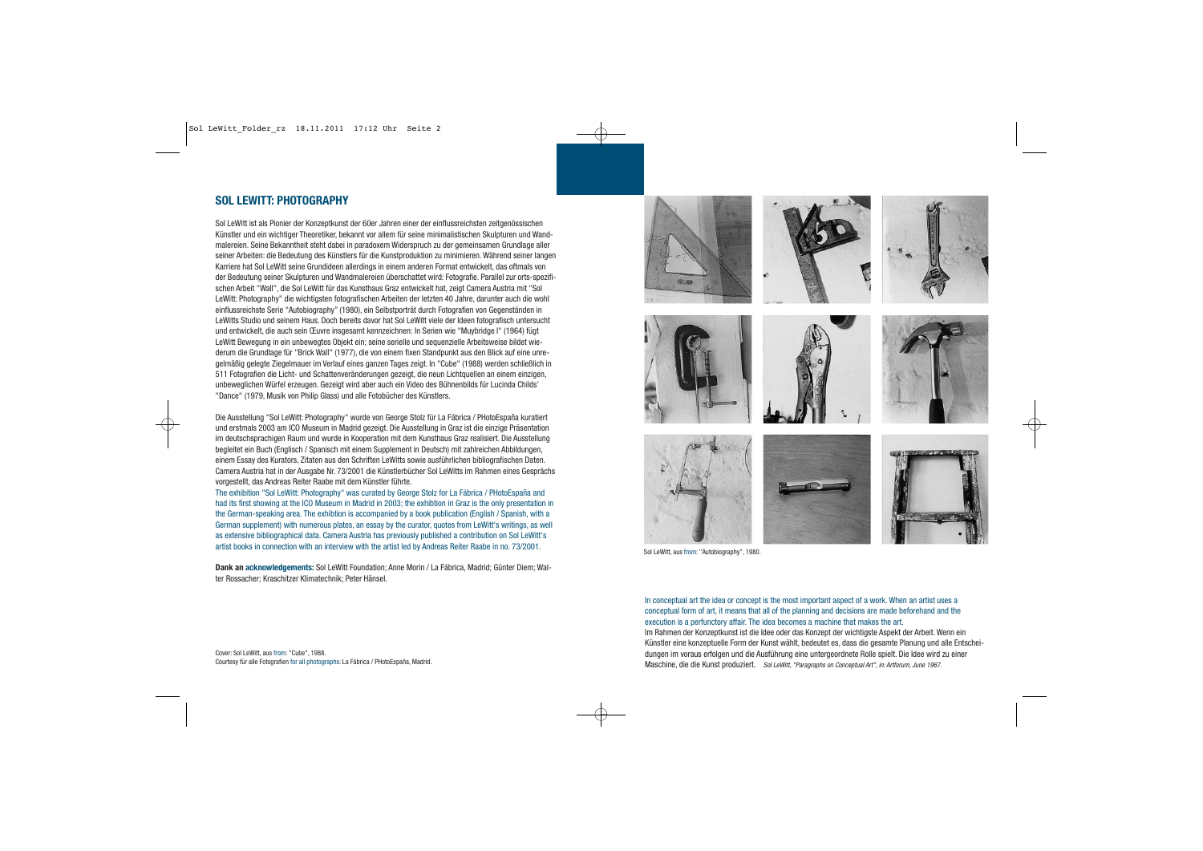### **SOL LEWITT: PHOTOGRAPHY**

Sol LeWitt ist als Pionier der Konzeptkunst der 60er Jahren einer der einflussreichsten zeitgenössischen Künstler und ein wichtiger Theoretiker, bekannt vor allem für seine minimalistischen Skulpturen und Wandmalereien. Seine Bekanntheit steht dabei in paradoxem Widerspruch zu der gemeinsamen Grundlage aller seiner Arbeiten: die Bedeutung des Künstlers für die Kunstproduktion zu minimieren. Während seiner langen Karriere hat Sol LeWitt seine Grundideen allerdings in einem anderen Format entwickelt, das oftmals von der Bedeutung seiner Skulpturen und Wandmalereien überschattet wird: Fotografie. Parallel zur orts-spezifischen Arbeit "Wall", die Sol LeWitt für das Kunsthaus Graz entwickelt hat, zeigt Camera Austria mit "Sol LeWitt: Photography" die wichtigsten fotografischen Arbeiten der letzten 40 Jahre, darunter auch die wohl einflussreichste Serie "Autobiography" (1980), ein Selbstporträt durch Fotografien von Gegenständen in LeWitts Studio und seinem Haus. Doch bereits davor hat Sol LeWitt viele der Ideen fotografisch untersucht und entwickelt, die auch sein Œuvre insgesamt kennzeichnen: In Serien wie "Muybridge I" (1964) fügt LeWitt Bewegung in ein unbewegtes Objekt ein; seine serielle und sequenzielle Arbeitsweise bildet wiederum die Grundlage für "Brick Wall" (1977), die von einem fixen Standpunkt aus den Blick auf eine unregelmäßig gelegte Ziegelmauer im Verlauf eines ganzen Tages zeigt. In "Cube" (1988) werden schließlich in 511 Fotografien die Licht- und Schattenveränderungen gezeigt, die neun Lichtquellen an einem einzigen, unbeweglichen Würfel erzeugen. Gezeigt wird aber auch ein Video des Bühnenbilds für Lucinda Childs' "Dance" (1979, Musik von Philip Glass) und alle Fotobücher des Künstlers.

Die Ausstellung "Sol LeWitt: Photography" wurde von George Stolz für La Fábrica / PHotoEspaña kuratiert und erstmals 2003 am ICO Museum in Madrid gezeigt. Die Ausstellung in Graz ist die einzige Präsentation im deutschsprachigen Raum und wurde in Kooperation mit dem Kunsthaus Graz realisiert. Die Ausstellung begleitet ein Buch (Englisch / Spanisch mit einem Supplement in Deutsch) mit zahlreichen Abbildungen, einem Essay des Kurators, Zitaten aus den Schriften LeWitts sowie ausführlichen bibliografischen Daten. Camera Austria hat in der Ausgabe Nr. 73/2001 die Künstlerbücher Sol LeWitts im Rahmen eines Gesprächs vorgestellt, das Andreas Reiter Raabe mit dem Künstler führte.

The exhibition "Sol LeWitt: Photography" was curated by George Stolz for La Fábrica / PHotoEspaña and had its first showing at the ICO Museum in Madrid in 2003; the exhibtion in Graz is the only presentation in the German-speaking area. The exhibtion is accompanied by a book publication (English / Spanish, with a German supplement) with numerous plates, an essay by the curator, quotes from LeWitt's writings, as well as extensive bibliographical data. Camera Austria has previously published a contribution on Sol LeWitt's artist books in connection with an interview with the artist led by Andreas Reiter Raabe in no. 73/2001.

**Dank an acknowledgements:** Sol LeWitt Foundation; Anne Morin / La Fábrica, Madrid; Günter Diem; Walter Rossacher; Kraschitzer Klimatechnik; Peter Hänsel.



Sol LeWitt, aus from: "Autobiography", 1980.

In conceptual art the idea or concept is the most important aspect of a work. When an artist uses a conceptual form of art, it means that all of the planning and decisions are made beforehand and the execution is a perfunctory affair. The idea becomes a machine that makes the art.

Im Rahmen der Konzeptkunst ist die Idee oder das Konzept der wichtigste Aspekt der Arbeit. Wenn ein Künstler eine konzeptuelle Form der Kunst wählt, bedeutet es, dass die gesamte Planung und alle Entscheidungen im voraus erfolgen und die Ausführung eine untergeordnete Rolle spielt. Die Idee wird zu einer Maschine, die die Kunst produziert. Sol LeWitt, "Paragraphs on Conceptual Art", in: Artforum, June 1967.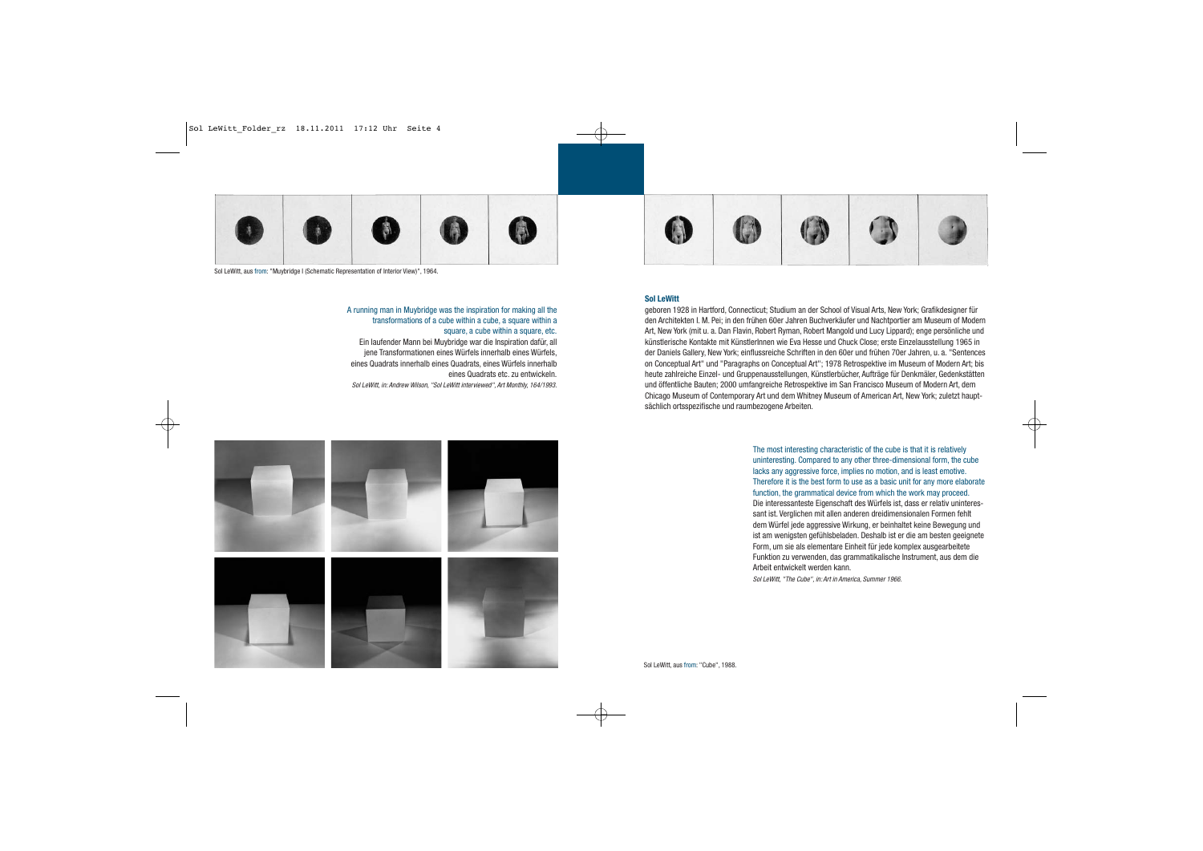

Sol LeWitt, aus from: "Muybridge I (Schematic Representation of Interior View)", 1964.

#### A running man in Muybridge was the inspiration for making all the transformations of a cube within a cube, a square within a square, a cube within a square, etc.

Ein laufender Mann bei Muybridge war die Inspiration dafür, all jene Transformationen eines Würfels innerhalb eines Würfels, eines Quadrats innerhalb eines Quadrats, eines Würfels innerhalb eines Quadrats etc. zu entwickeln.

Sol LeWitt, in: Andrew Wilson, "Sol LeWitt interviewed", Art Monthly, 164/1993.





#### **Sol LeWitt**

geboren 1928 in Hartford, Connecticut; Studium an der School of Visual Arts, New York; Grafikdesigner für den Architekten I. M. Pei; in den frühen 60er Jahren Buchverkäufer und Nachtportier am Museum of Modern Art, New York (mit u. a. Dan Flavin, Robert Ryman, Robert Mangold und Lucy Lippard); enge persönliche und künstlerische Kontakte mit KünstlerInnen wie Eva Hesse und Chuck Close; erste Einzelausstellung 1965 in der Daniels Gallery, New York; einflussreiche Schriften in den 60er und frühen 70er Jahren, u. a. "Sentences on Conceptual Art" und "Paragraphs on Conceptual Art"; 1978 Retrospektive im Museum of Modern Art; bis heute zahlreiche Einzel- und Gruppenausstellungen, Künstlerbücher, Aufträge für Denkmäler, Gedenkstätten und öffentliche Bauten; 2000 umfangreiche Retrospektive im San Francisco Museum of Modern Art, dem Chicago Museum of Contemporary Art und dem Whitney Museum of American Art, New York; zuletzt hauptsächlich ortsspezifische und raumbezogene Arbeiten.

> The most interesting characteristic of the cube is that it is relatively uninteresting. Compared to any other three-dimensional form, the cube lacks any aggressive force, implies no motion, and is least emotive. Therefore it is the best form to use as a basic unit for any more elaborate function, the grammatical device from which the work may proceed. Die interessanteste Eigenschaft des Würfels ist, dass er relativ uninteressant ist. Verglichen mit allen anderen dreidimensionalen Formen fehlt dem Würfel jede aggressive Wirkung, er beinhaltet keine Bewegung und ist am wenigsten gefühlsbeladen. Deshalb ist er die am besten geeignete Form, um sie als elementare Einheit für jede komplex ausgearbeitete Funktion zu verwenden, das grammatikalische Instrument, aus dem die Arbeit entwickelt werden kann. Sol LeWitt, "The Cube", in: Art in America, Summer 1966.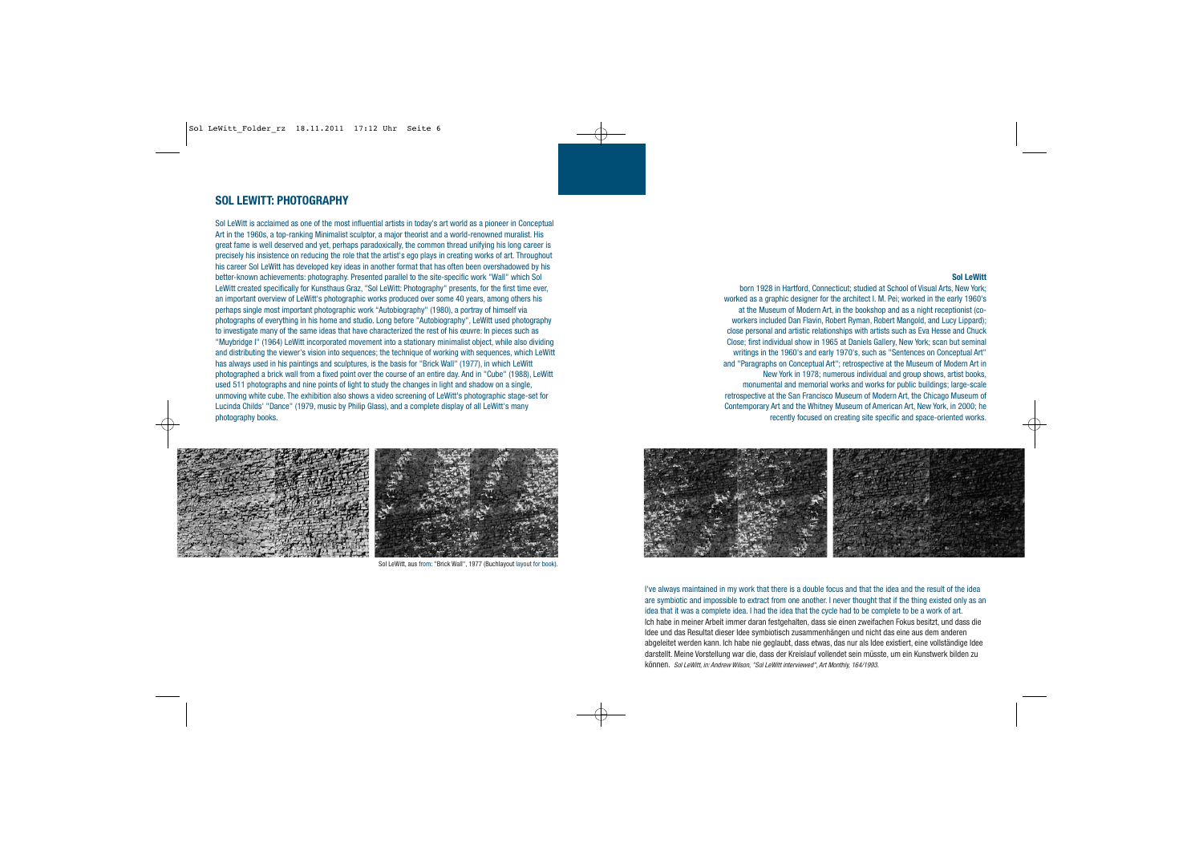## **SOL LEWITT: PHOTOGRAPHY**

Sol LeWitt is acclaimed as one of the most influential artists in today's art world as a pioneer in Conceptual Art in the 1960s, a top-ranking Minimalist sculptor, a major theorist and a world-renowned muralist. His great fame is well deserved and yet, perhaps paradoxically, the common thread unifying his long career is precisely his insistence on reducing the role that the artist's ego plays in creating works of art. Throughout his career Sol LeWitt has developed key ideas in another format that has often been overshadowed by his better-known achievements: photography. Presented parallel to the site-specific work "Wall" which Sol LeWitt created specifically for Kunsthaus Graz, "Sol LeWitt: Photography" presents, for the first time ever, an important overview of LeWitt's photographic works produced over some 40 years, among others his perhaps single most important photographic work "Autobiography" (1980), a portray of himself via photographs of everything in his home and studio. Long before "Autobiography", LeWitt used photography to investigate many of the same ideas that have characterized the rest of his œuvre: In pieces such as "Muybridge I" (1964) LeWitt incorporated movement into a stationary minimalist object, while also dividing and distributing the viewer's vision into sequences; the technique of working with sequences, which LeWitt has always used in his paintings and sculptures, is the basis for "Brick Wall" (1977), in which LeWitt photographed a brick wall from a fixed point over the course of an entire day. And in "Cube" (1988), LeWitt used 511 photographs and nine points of light to study the changes in light and shadow on a single, unmoving white cube. The exhibition also shows a video screening of LeWitt's photographic stage-set for Lucinda Childs' "Dance" (1979, music by Philip Glass), and a complete display of all LeWitt's many photography books.



Sol LeWitt, aus from: "Brick Wall", 1977 (Buchlayout layout for book).

#### **Sol LeWitt**

born 1928 in Hartford, Connecticut; studied at School of Visual Arts, New York; worked as a graphic designer for the architect I. M. Pei; worked in the early 1960's at the Museum of Modern Art, in the bookshop and as a night receptionist (coworkers included Dan Flavin, Robert Ryman, Robert Mangold, and Lucy Lippard); close personal and artistic relationships with artists such as Eva Hesse and Chuck Close; first individual show in 1965 at Daniels Gallery, New York; scan but seminal writings in the 1960's and early 1970's, such as "Sentences on Conceptual Art" and "Paragraphs on Conceptual Art"; retrospective at the Museum of Modern Art in New York in 1978; numerous individual and group shows, artist books, monumental and memorial works and works for public buildings; large-scale retrospective at the San Francisco Museum of Modern Art, the Chicago Museum of Contemporary Art and the Whitney Museum of American Art, New York, in 2000; he recently focused on creating site specific and space-oriented works.



I've always maintained in my work that there is a double focus and that the idea and the result of the idea are symbiotic and impossible to extract from one another. I never thought that if the thing existed only as an idea that it was a complete idea. I had the idea that the cycle had to be complete to be a work of art. Ich habe in meiner Arbeit immer daran festgehalten, dass sie einen zweifachen Fokus besitzt, und dass die Idee und das Resultat dieser Idee symbiotisch zusammenhängen und nicht das eine aus dem anderen abgeleitet werden kann. Ich habe nie geglaubt, dass etwas, das nur als Idee existiert, eine vollständige Idee darstellt. Meine Vorstellung war die, dass der Kreislauf vollendet sein müsste, um ein Kunstwerk bilden zu können. Sol LeWitt, in: Andrew Wilson, "Sol LeWitt interviewed", Art Monthly, 164/1993.